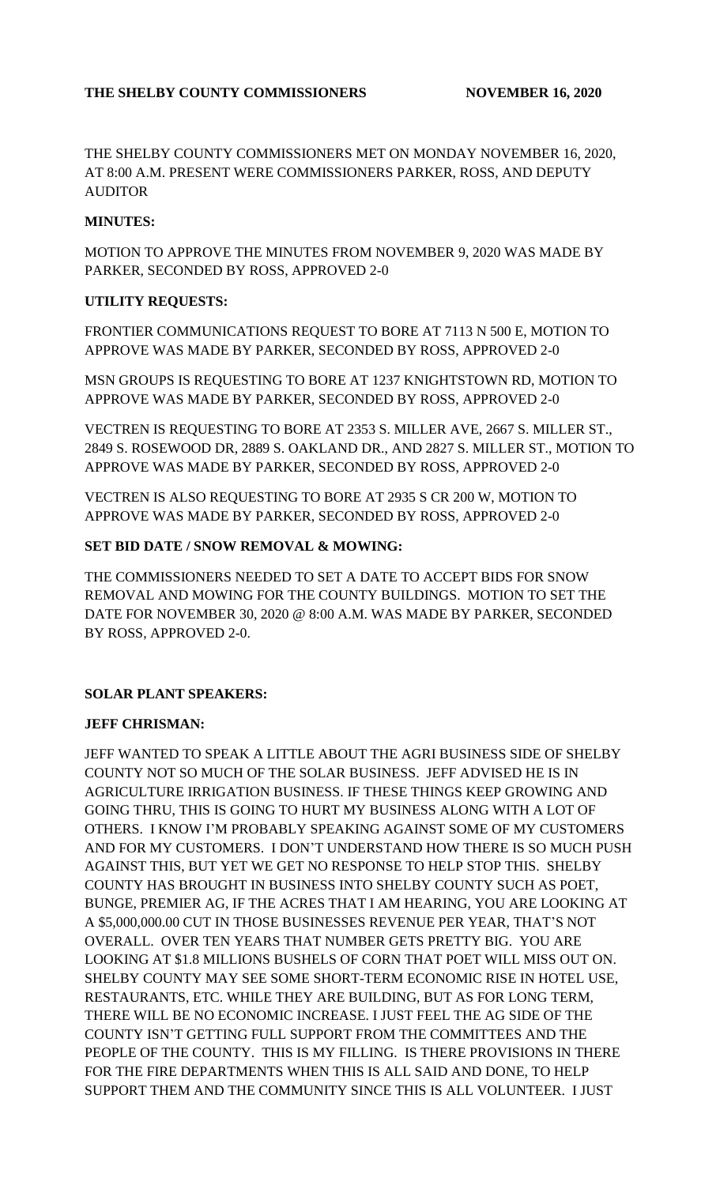THE SHELBY COUNTY COMMISSIONERS MET ON MONDAY NOVEMBER 16, 2020, AT 8:00 A.M. PRESENT WERE COMMISSIONERS PARKER, ROSS, AND DEPUTY **AUDITOR** 

#### **MINUTES:**

MOTION TO APPROVE THE MINUTES FROM NOVEMBER 9, 2020 WAS MADE BY PARKER, SECONDED BY ROSS, APPROVED 2-0

#### **UTILITY REQUESTS:**

FRONTIER COMMUNICATIONS REQUEST TO BORE AT 7113 N 500 E, MOTION TO APPROVE WAS MADE BY PARKER, SECONDED BY ROSS, APPROVED 2-0

MSN GROUPS IS REQUESTING TO BORE AT 1237 KNIGHTSTOWN RD, MOTION TO APPROVE WAS MADE BY PARKER, SECONDED BY ROSS, APPROVED 2-0

VECTREN IS REQUESTING TO BORE AT 2353 S. MILLER AVE, 2667 S. MILLER ST., 2849 S. ROSEWOOD DR, 2889 S. OAKLAND DR., AND 2827 S. MILLER ST., MOTION TO APPROVE WAS MADE BY PARKER, SECONDED BY ROSS, APPROVED 2-0

VECTREN IS ALSO REQUESTING TO BORE AT 2935 S CR 200 W, MOTION TO APPROVE WAS MADE BY PARKER, SECONDED BY ROSS, APPROVED 2-0

#### **SET BID DATE / SNOW REMOVAL & MOWING:**

THE COMMISSIONERS NEEDED TO SET A DATE TO ACCEPT BIDS FOR SNOW REMOVAL AND MOWING FOR THE COUNTY BUILDINGS. MOTION TO SET THE DATE FOR NOVEMBER 30, 2020 @ 8:00 A.M. WAS MADE BY PARKER, SECONDED BY ROSS, APPROVED 2-0.

## **SOLAR PLANT SPEAKERS:**

## **JEFF CHRISMAN:**

JEFF WANTED TO SPEAK A LITTLE ABOUT THE AGRI BUSINESS SIDE OF SHELBY COUNTY NOT SO MUCH OF THE SOLAR BUSINESS. JEFF ADVISED HE IS IN AGRICULTURE IRRIGATION BUSINESS. IF THESE THINGS KEEP GROWING AND GOING THRU, THIS IS GOING TO HURT MY BUSINESS ALONG WITH A LOT OF OTHERS. I KNOW I'M PROBABLY SPEAKING AGAINST SOME OF MY CUSTOMERS AND FOR MY CUSTOMERS. I DON'T UNDERSTAND HOW THERE IS SO MUCH PUSH AGAINST THIS, BUT YET WE GET NO RESPONSE TO HELP STOP THIS. SHELBY COUNTY HAS BROUGHT IN BUSINESS INTO SHELBY COUNTY SUCH AS POET, BUNGE, PREMIER AG, IF THE ACRES THAT I AM HEARING, YOU ARE LOOKING AT A \$5,000,000.00 CUT IN THOSE BUSINESSES REVENUE PER YEAR, THAT'S NOT OVERALL. OVER TEN YEARS THAT NUMBER GETS PRETTY BIG. YOU ARE LOOKING AT \$1.8 MILLIONS BUSHELS OF CORN THAT POET WILL MISS OUT ON. SHELBY COUNTY MAY SEE SOME SHORT-TERM ECONOMIC RISE IN HOTEL USE, RESTAURANTS, ETC. WHILE THEY ARE BUILDING, BUT AS FOR LONG TERM, THERE WILL BE NO ECONOMIC INCREASE. I JUST FEEL THE AG SIDE OF THE COUNTY ISN'T GETTING FULL SUPPORT FROM THE COMMITTEES AND THE PEOPLE OF THE COUNTY. THIS IS MY FILLING. IS THERE PROVISIONS IN THERE FOR THE FIRE DEPARTMENTS WHEN THIS IS ALL SAID AND DONE, TO HELP SUPPORT THEM AND THE COMMUNITY SINCE THIS IS ALL VOLUNTEER. I JUST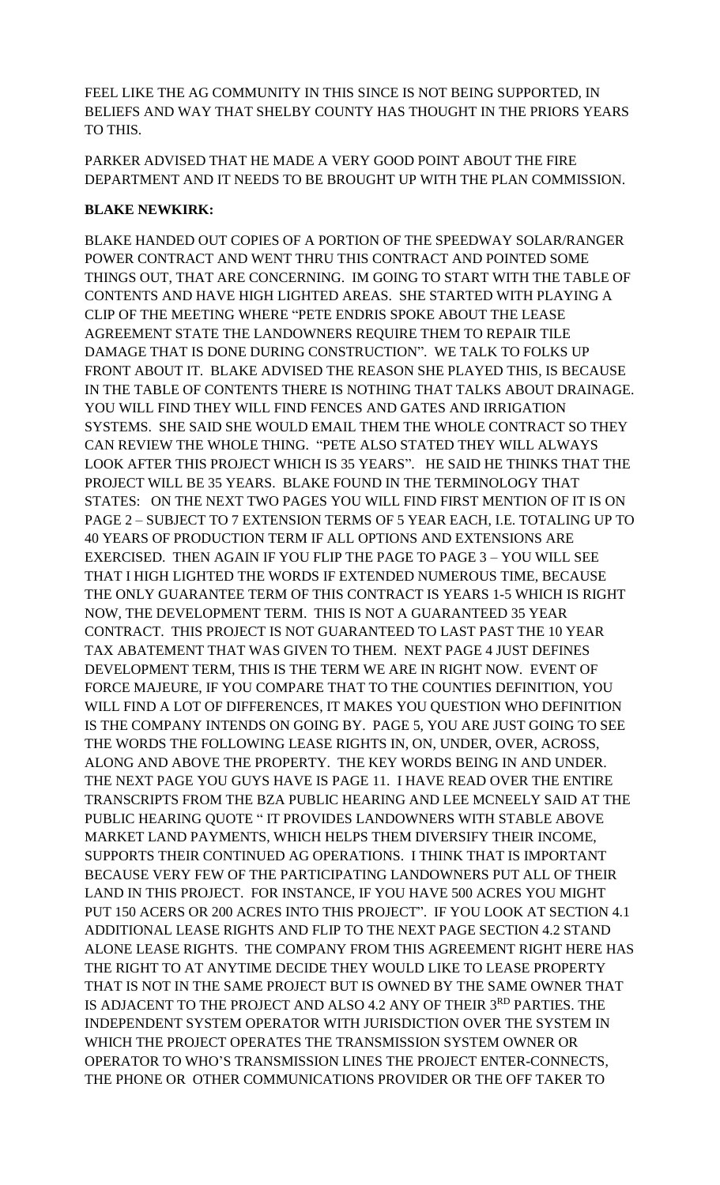FEEL LIKE THE AG COMMUNITY IN THIS SINCE IS NOT BEING SUPPORTED, IN BELIEFS AND WAY THAT SHELBY COUNTY HAS THOUGHT IN THE PRIORS YEARS TO THIS.

PARKER ADVISED THAT HE MADE A VERY GOOD POINT ABOUT THE FIRE DEPARTMENT AND IT NEEDS TO BE BROUGHT UP WITH THE PLAN COMMISSION.

#### **BLAKE NEWKIRK:**

BLAKE HANDED OUT COPIES OF A PORTION OF THE SPEEDWAY SOLAR/RANGER POWER CONTRACT AND WENT THRU THIS CONTRACT AND POINTED SOME THINGS OUT, THAT ARE CONCERNING. IM GOING TO START WITH THE TABLE OF CONTENTS AND HAVE HIGH LIGHTED AREAS. SHE STARTED WITH PLAYING A CLIP OF THE MEETING WHERE "PETE ENDRIS SPOKE ABOUT THE LEASE AGREEMENT STATE THE LANDOWNERS REQUIRE THEM TO REPAIR TILE DAMAGE THAT IS DONE DURING CONSTRUCTION". WE TALK TO FOLKS UP FRONT ABOUT IT. BLAKE ADVISED THE REASON SHE PLAYED THIS, IS BECAUSE IN THE TABLE OF CONTENTS THERE IS NOTHING THAT TALKS ABOUT DRAINAGE. YOU WILL FIND THEY WILL FIND FENCES AND GATES AND IRRIGATION SYSTEMS. SHE SAID SHE WOULD EMAIL THEM THE WHOLE CONTRACT SO THEY CAN REVIEW THE WHOLE THING. "PETE ALSO STATED THEY WILL ALWAYS LOOK AFTER THIS PROJECT WHICH IS 35 YEARS". HE SAID HE THINKS THAT THE PROJECT WILL BE 35 YEARS. BLAKE FOUND IN THE TERMINOLOGY THAT STATES: ON THE NEXT TWO PAGES YOU WILL FIND FIRST MENTION OF IT IS ON PAGE 2 – SUBJECT TO 7 EXTENSION TERMS OF 5 YEAR EACH, I.E. TOTALING UP TO 40 YEARS OF PRODUCTION TERM IF ALL OPTIONS AND EXTENSIONS ARE EXERCISED. THEN AGAIN IF YOU FLIP THE PAGE TO PAGE 3 – YOU WILL SEE THAT I HIGH LIGHTED THE WORDS IF EXTENDED NUMEROUS TIME, BECAUSE THE ONLY GUARANTEE TERM OF THIS CONTRACT IS YEARS 1-5 WHICH IS RIGHT NOW, THE DEVELOPMENT TERM. THIS IS NOT A GUARANTEED 35 YEAR CONTRACT. THIS PROJECT IS NOT GUARANTEED TO LAST PAST THE 10 YEAR TAX ABATEMENT THAT WAS GIVEN TO THEM. NEXT PAGE 4 JUST DEFINES DEVELOPMENT TERM, THIS IS THE TERM WE ARE IN RIGHT NOW. EVENT OF FORCE MAJEURE, IF YOU COMPARE THAT TO THE COUNTIES DEFINITION, YOU WILL FIND A LOT OF DIFFERENCES, IT MAKES YOU QUESTION WHO DEFINITION IS THE COMPANY INTENDS ON GOING BY. PAGE 5, YOU ARE JUST GOING TO SEE THE WORDS THE FOLLOWING LEASE RIGHTS IN, ON, UNDER, OVER, ACROSS, ALONG AND ABOVE THE PROPERTY. THE KEY WORDS BEING IN AND UNDER. THE NEXT PAGE YOU GUYS HAVE IS PAGE 11. I HAVE READ OVER THE ENTIRE TRANSCRIPTS FROM THE BZA PUBLIC HEARING AND LEE MCNEELY SAID AT THE PUBLIC HEARING QUOTE " IT PROVIDES LANDOWNERS WITH STABLE ABOVE MARKET LAND PAYMENTS, WHICH HELPS THEM DIVERSIFY THEIR INCOME, SUPPORTS THEIR CONTINUED AG OPERATIONS. I THINK THAT IS IMPORTANT BECAUSE VERY FEW OF THE PARTICIPATING LANDOWNERS PUT ALL OF THEIR LAND IN THIS PROJECT. FOR INSTANCE, IF YOU HAVE 500 ACRES YOU MIGHT PUT 150 ACERS OR 200 ACRES INTO THIS PROJECT". IF YOU LOOK AT SECTION 4.1 ADDITIONAL LEASE RIGHTS AND FLIP TO THE NEXT PAGE SECTION 4.2 STAND ALONE LEASE RIGHTS. THE COMPANY FROM THIS AGREEMENT RIGHT HERE HAS THE RIGHT TO AT ANYTIME DECIDE THEY WOULD LIKE TO LEASE PROPERTY THAT IS NOT IN THE SAME PROJECT BUT IS OWNED BY THE SAME OWNER THAT IS ADJACENT TO THE PROJECT AND ALSO 4.2 ANY OF THEIR 3RD PARTIES. THE INDEPENDENT SYSTEM OPERATOR WITH JURISDICTION OVER THE SYSTEM IN WHICH THE PROJECT OPERATES THE TRANSMISSION SYSTEM OWNER OR OPERATOR TO WHO'S TRANSMISSION LINES THE PROJECT ENTER-CONNECTS, THE PHONE OR OTHER COMMUNICATIONS PROVIDER OR THE OFF TAKER TO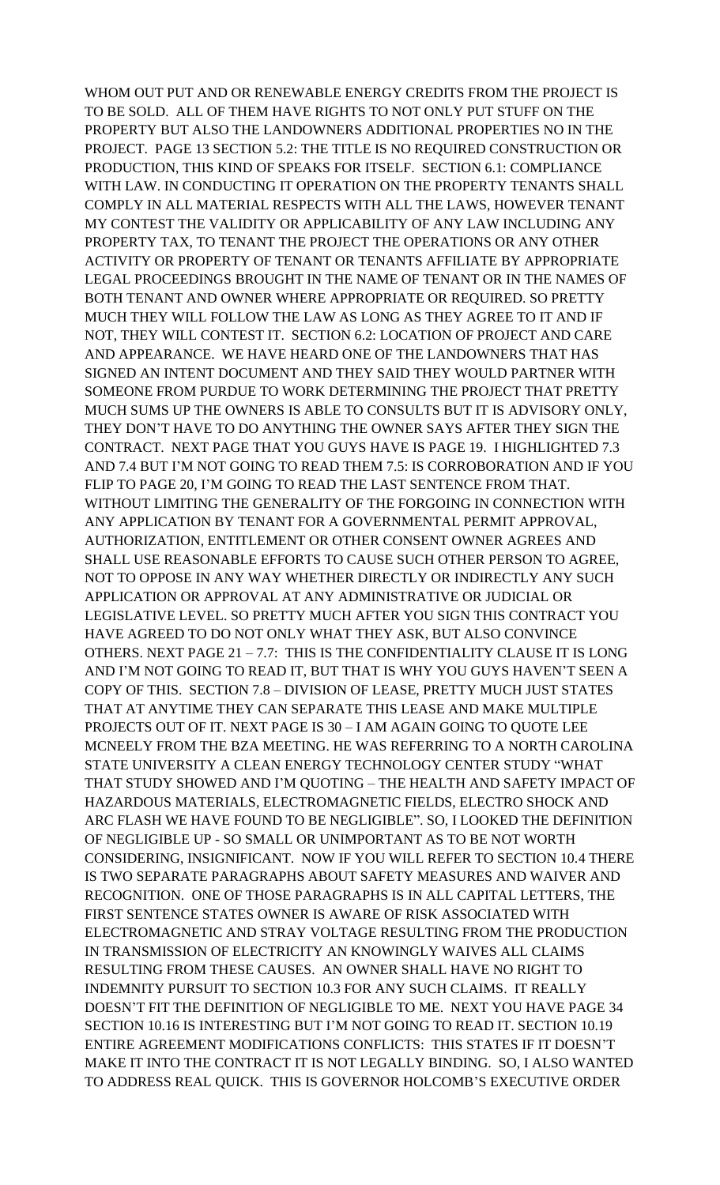WHOM OUT PUT AND OR RENEWABLE ENERGY CREDITS FROM THE PROJECT IS TO BE SOLD. ALL OF THEM HAVE RIGHTS TO NOT ONLY PUT STUFF ON THE PROPERTY BUT ALSO THE LANDOWNERS ADDITIONAL PROPERTIES NO IN THE PROJECT. PAGE 13 SECTION 5.2: THE TITLE IS NO REQUIRED CONSTRUCTION OR PRODUCTION, THIS KIND OF SPEAKS FOR ITSELF. SECTION 6.1: COMPLIANCE WITH LAW. IN CONDUCTING IT OPERATION ON THE PROPERTY TENANTS SHALL COMPLY IN ALL MATERIAL RESPECTS WITH ALL THE LAWS, HOWEVER TENANT MY CONTEST THE VALIDITY OR APPLICABILITY OF ANY LAW INCLUDING ANY PROPERTY TAX, TO TENANT THE PROJECT THE OPERATIONS OR ANY OTHER ACTIVITY OR PROPERTY OF TENANT OR TENANTS AFFILIATE BY APPROPRIATE LEGAL PROCEEDINGS BROUGHT IN THE NAME OF TENANT OR IN THE NAMES OF BOTH TENANT AND OWNER WHERE APPROPRIATE OR REQUIRED. SO PRETTY MUCH THEY WILL FOLLOW THE LAW AS LONG AS THEY AGREE TO IT AND IF NOT, THEY WILL CONTEST IT. SECTION 6.2: LOCATION OF PROJECT AND CARE AND APPEARANCE. WE HAVE HEARD ONE OF THE LANDOWNERS THAT HAS SIGNED AN INTENT DOCUMENT AND THEY SAID THEY WOULD PARTNER WITH SOMEONE FROM PURDUE TO WORK DETERMINING THE PROJECT THAT PRETTY MUCH SUMS UP THE OWNERS IS ABLE TO CONSULTS BUT IT IS ADVISORY ONLY, THEY DON'T HAVE TO DO ANYTHING THE OWNER SAYS AFTER THEY SIGN THE CONTRACT. NEXT PAGE THAT YOU GUYS HAVE IS PAGE 19. I HIGHLIGHTED 7.3 AND 7.4 BUT I'M NOT GOING TO READ THEM 7.5: IS CORROBORATION AND IF YOU FLIP TO PAGE 20, I'M GOING TO READ THE LAST SENTENCE FROM THAT. WITHOUT LIMITING THE GENERALITY OF THE FORGOING IN CONNECTION WITH ANY APPLICATION BY TENANT FOR A GOVERNMENTAL PERMIT APPROVAL, AUTHORIZATION, ENTITLEMENT OR OTHER CONSENT OWNER AGREES AND SHALL USE REASONABLE EFFORTS TO CAUSE SUCH OTHER PERSON TO AGREE, NOT TO OPPOSE IN ANY WAY WHETHER DIRECTLY OR INDIRECTLY ANY SUCH APPLICATION OR APPROVAL AT ANY ADMINISTRATIVE OR JUDICIAL OR LEGISLATIVE LEVEL. SO PRETTY MUCH AFTER YOU SIGN THIS CONTRACT YOU HAVE AGREED TO DO NOT ONLY WHAT THEY ASK, BUT ALSO CONVINCE OTHERS. NEXT PAGE 21 – 7.7: THIS IS THE CONFIDENTIALITY CLAUSE IT IS LONG AND I'M NOT GOING TO READ IT, BUT THAT IS WHY YOU GUYS HAVEN'T SEEN A COPY OF THIS. SECTION 7.8 – DIVISION OF LEASE, PRETTY MUCH JUST STATES THAT AT ANYTIME THEY CAN SEPARATE THIS LEASE AND MAKE MULTIPLE PROJECTS OUT OF IT. NEXT PAGE IS 30 – I AM AGAIN GOING TO QUOTE LEE MCNEELY FROM THE BZA MEETING. HE WAS REFERRING TO A NORTH CAROLINA STATE UNIVERSITY A CLEAN ENERGY TECHNOLOGY CENTER STUDY "WHAT THAT STUDY SHOWED AND I'M QUOTING – THE HEALTH AND SAFETY IMPACT OF HAZARDOUS MATERIALS, ELECTROMAGNETIC FIELDS, ELECTRO SHOCK AND ARC FLASH WE HAVE FOUND TO BE NEGLIGIBLE". SO, I LOOKED THE DEFINITION OF NEGLIGIBLE UP - SO SMALL OR UNIMPORTANT AS TO BE NOT WORTH CONSIDERING, INSIGNIFICANT. NOW IF YOU WILL REFER TO SECTION 10.4 THERE IS TWO SEPARATE PARAGRAPHS ABOUT SAFETY MEASURES AND WAIVER AND RECOGNITION. ONE OF THOSE PARAGRAPHS IS IN ALL CAPITAL LETTERS, THE FIRST SENTENCE STATES OWNER IS AWARE OF RISK ASSOCIATED WITH ELECTROMAGNETIC AND STRAY VOLTAGE RESULTING FROM THE PRODUCTION IN TRANSMISSION OF ELECTRICITY AN KNOWINGLY WAIVES ALL CLAIMS RESULTING FROM THESE CAUSES. AN OWNER SHALL HAVE NO RIGHT TO INDEMNITY PURSUIT TO SECTION 10.3 FOR ANY SUCH CLAIMS. IT REALLY DOESN'T FIT THE DEFINITION OF NEGLIGIBLE TO ME. NEXT YOU HAVE PAGE 34 SECTION 10.16 IS INTERESTING BUT I'M NOT GOING TO READ IT. SECTION 10.19 ENTIRE AGREEMENT MODIFICATIONS CONFLICTS: THIS STATES IF IT DOESN'T MAKE IT INTO THE CONTRACT IT IS NOT LEGALLY BINDING. SO, I ALSO WANTED TO ADDRESS REAL QUICK. THIS IS GOVERNOR HOLCOMB'S EXECUTIVE ORDER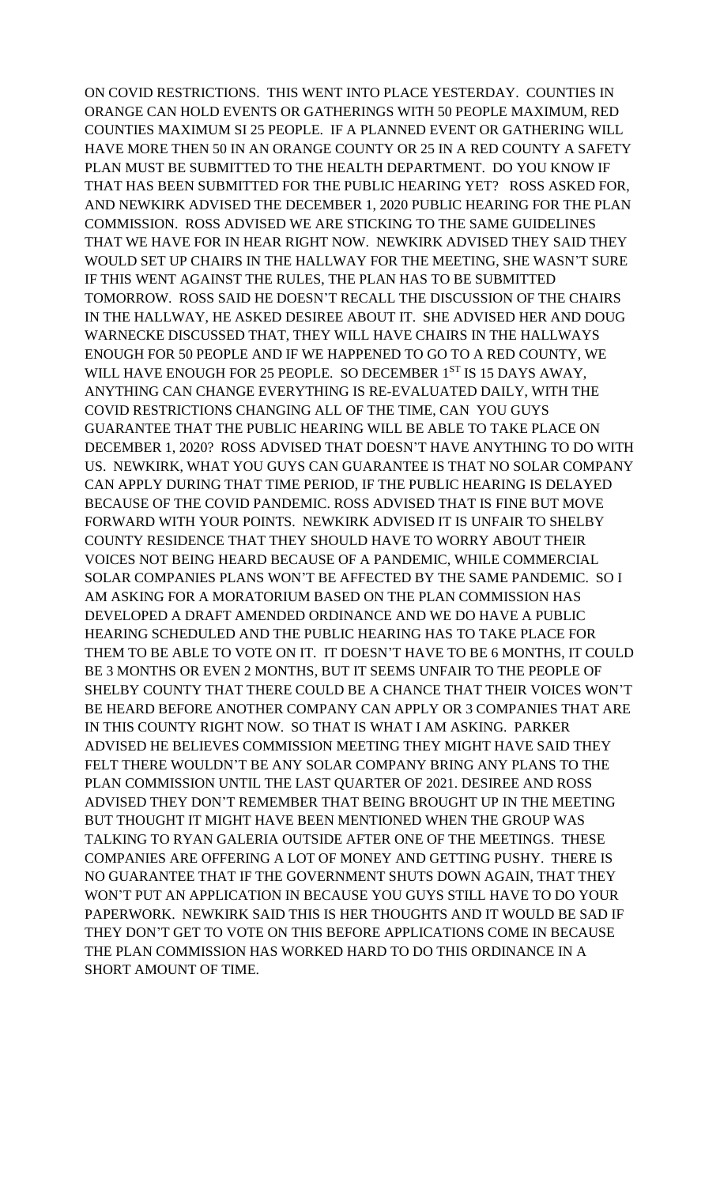ON COVID RESTRICTIONS. THIS WENT INTO PLACE YESTERDAY. COUNTIES IN ORANGE CAN HOLD EVENTS OR GATHERINGS WITH 50 PEOPLE MAXIMUM, RED COUNTIES MAXIMUM SI 25 PEOPLE. IF A PLANNED EVENT OR GATHERING WILL HAVE MORE THEN 50 IN AN ORANGE COUNTY OR 25 IN A RED COUNTY A SAFETY PLAN MUST BE SUBMITTED TO THE HEALTH DEPARTMENT. DO YOU KNOW IF THAT HAS BEEN SUBMITTED FOR THE PUBLIC HEARING YET? ROSS ASKED FOR, AND NEWKIRK ADVISED THE DECEMBER 1, 2020 PUBLIC HEARING FOR THE PLAN COMMISSION. ROSS ADVISED WE ARE STICKING TO THE SAME GUIDELINES THAT WE HAVE FOR IN HEAR RIGHT NOW. NEWKIRK ADVISED THEY SAID THEY WOULD SET UP CHAIRS IN THE HALLWAY FOR THE MEETING, SHE WASN'T SURE IF THIS WENT AGAINST THE RULES, THE PLAN HAS TO BE SUBMITTED TOMORROW. ROSS SAID HE DOESN'T RECALL THE DISCUSSION OF THE CHAIRS IN THE HALLWAY, HE ASKED DESIREE ABOUT IT. SHE ADVISED HER AND DOUG WARNECKE DISCUSSED THAT, THEY WILL HAVE CHAIRS IN THE HALLWAYS ENOUGH FOR 50 PEOPLE AND IF WE HAPPENED TO GO TO A RED COUNTY, WE WILL HAVE ENOUGH FOR 25 PEOPLE. SO DECEMBER 1ST IS 15 DAYS AWAY, ANYTHING CAN CHANGE EVERYTHING IS RE-EVALUATED DAILY, WITH THE COVID RESTRICTIONS CHANGING ALL OF THE TIME, CAN YOU GUYS GUARANTEE THAT THE PUBLIC HEARING WILL BE ABLE TO TAKE PLACE ON DECEMBER 1, 2020? ROSS ADVISED THAT DOESN'T HAVE ANYTHING TO DO WITH US. NEWKIRK, WHAT YOU GUYS CAN GUARANTEE IS THAT NO SOLAR COMPANY CAN APPLY DURING THAT TIME PERIOD, IF THE PUBLIC HEARING IS DELAYED BECAUSE OF THE COVID PANDEMIC. ROSS ADVISED THAT IS FINE BUT MOVE FORWARD WITH YOUR POINTS. NEWKIRK ADVISED IT IS UNFAIR TO SHELBY COUNTY RESIDENCE THAT THEY SHOULD HAVE TO WORRY ABOUT THEIR VOICES NOT BEING HEARD BECAUSE OF A PANDEMIC, WHILE COMMERCIAL SOLAR COMPANIES PLANS WON'T BE AFFECTED BY THE SAME PANDEMIC. SO I AM ASKING FOR A MORATORIUM BASED ON THE PLAN COMMISSION HAS DEVELOPED A DRAFT AMENDED ORDINANCE AND WE DO HAVE A PUBLIC HEARING SCHEDULED AND THE PUBLIC HEARING HAS TO TAKE PLACE FOR THEM TO BE ABLE TO VOTE ON IT. IT DOESN'T HAVE TO BE 6 MONTHS, IT COULD BE 3 MONTHS OR EVEN 2 MONTHS, BUT IT SEEMS UNFAIR TO THE PEOPLE OF SHELBY COUNTY THAT THERE COULD BE A CHANCE THAT THEIR VOICES WON'T BE HEARD BEFORE ANOTHER COMPANY CAN APPLY OR 3 COMPANIES THAT ARE IN THIS COUNTY RIGHT NOW. SO THAT IS WHAT I AM ASKING. PARKER ADVISED HE BELIEVES COMMISSION MEETING THEY MIGHT HAVE SAID THEY FELT THERE WOULDN'T BE ANY SOLAR COMPANY BRING ANY PLANS TO THE PLAN COMMISSION UNTIL THE LAST QUARTER OF 2021. DESIREE AND ROSS ADVISED THEY DON'T REMEMBER THAT BEING BROUGHT UP IN THE MEETING BUT THOUGHT IT MIGHT HAVE BEEN MENTIONED WHEN THE GROUP WAS TALKING TO RYAN GALERIA OUTSIDE AFTER ONE OF THE MEETINGS. THESE COMPANIES ARE OFFERING A LOT OF MONEY AND GETTING PUSHY. THERE IS NO GUARANTEE THAT IF THE GOVERNMENT SHUTS DOWN AGAIN, THAT THEY WON'T PUT AN APPLICATION IN BECAUSE YOU GUYS STILL HAVE TO DO YOUR PAPERWORK. NEWKIRK SAID THIS IS HER THOUGHTS AND IT WOULD BE SAD IF THEY DON'T GET TO VOTE ON THIS BEFORE APPLICATIONS COME IN BECAUSE THE PLAN COMMISSION HAS WORKED HARD TO DO THIS ORDINANCE IN A SHORT AMOUNT OF TIME.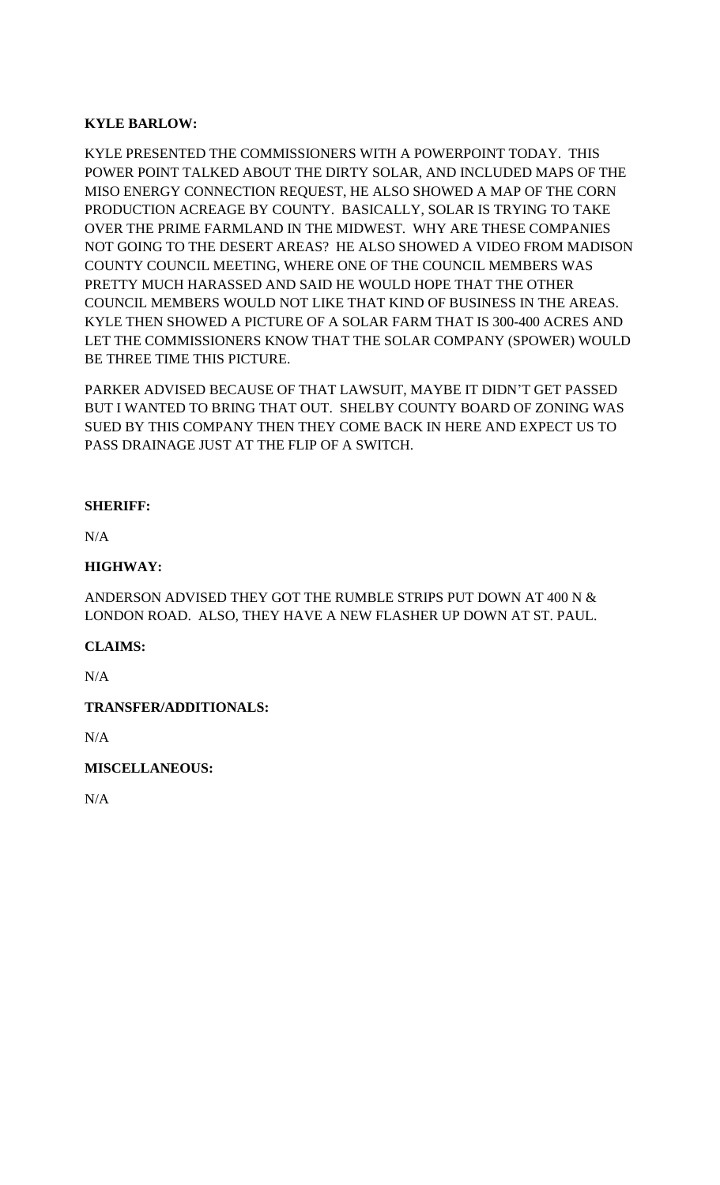# **KYLE BARLOW:**

KYLE PRESENTED THE COMMISSIONERS WITH A POWERPOINT TODAY. THIS POWER POINT TALKED ABOUT THE DIRTY SOLAR, AND INCLUDED MAPS OF THE MISO ENERGY CONNECTION REQUEST, HE ALSO SHOWED A MAP OF THE CORN PRODUCTION ACREAGE BY COUNTY. BASICALLY, SOLAR IS TRYING TO TAKE OVER THE PRIME FARMLAND IN THE MIDWEST. WHY ARE THESE COMPANIES NOT GOING TO THE DESERT AREAS? HE ALSO SHOWED A VIDEO FROM MADISON COUNTY COUNCIL MEETING, WHERE ONE OF THE COUNCIL MEMBERS WAS PRETTY MUCH HARASSED AND SAID HE WOULD HOPE THAT THE OTHER COUNCIL MEMBERS WOULD NOT LIKE THAT KIND OF BUSINESS IN THE AREAS. KYLE THEN SHOWED A PICTURE OF A SOLAR FARM THAT IS 300-400 ACRES AND LET THE COMMISSIONERS KNOW THAT THE SOLAR COMPANY (SPOWER) WOULD BE THREE TIME THIS PICTURE.

PARKER ADVISED BECAUSE OF THAT LAWSUIT, MAYBE IT DIDN'T GET PASSED BUT I WANTED TO BRING THAT OUT. SHELBY COUNTY BOARD OF ZONING WAS SUED BY THIS COMPANY THEN THEY COME BACK IN HERE AND EXPECT US TO PASS DRAINAGE JUST AT THE FLIP OF A SWITCH.

## **SHERIFF:**

N/A

## **HIGHWAY:**

ANDERSON ADVISED THEY GOT THE RUMBLE STRIPS PUT DOWN AT 400 N & LONDON ROAD. ALSO, THEY HAVE A NEW FLASHER UP DOWN AT ST. PAUL.

## **CLAIMS:**

N/A

## **TRANSFER/ADDITIONALS:**

N/A

## **MISCELLANEOUS:**

N/A